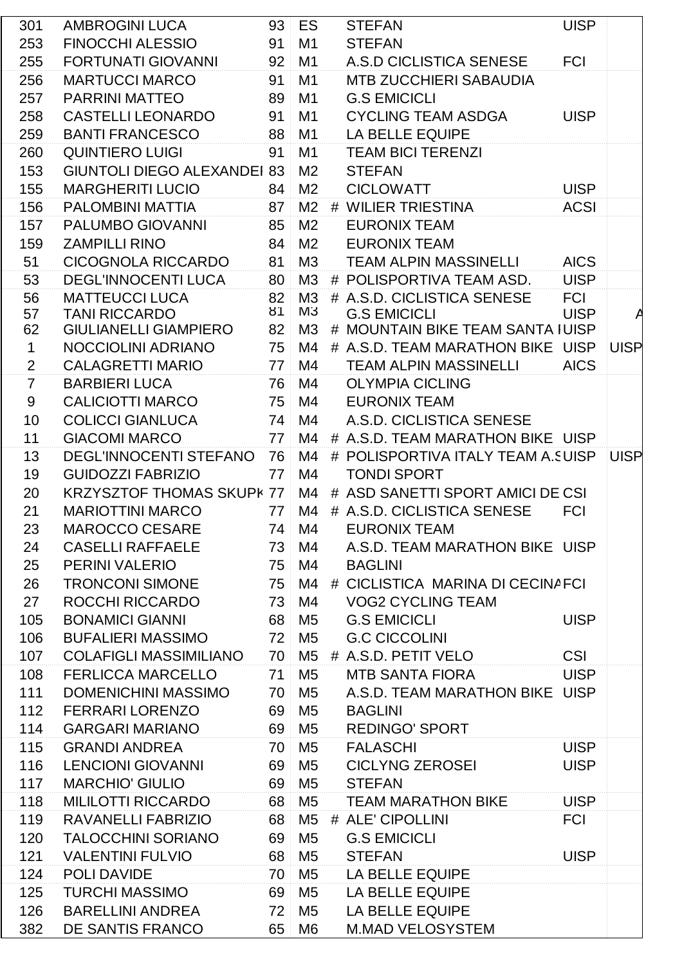| 301             | AMBROGINI LUCA                     |    | 93 ES          | <b>STEFAN</b>                           | <b>UISP</b> |  |
|-----------------|------------------------------------|----|----------------|-----------------------------------------|-------------|--|
| 253             | <b>FINOCCHI ALESSIO</b>            | 91 | M <sub>1</sub> | <b>STEFAN</b>                           |             |  |
| 255             | <b>FORTUNATI GIOVANNI</b>          | 92 | M <sub>1</sub> | A.S.D CICLISTICA SENESE                 | <b>FCI</b>  |  |
| 256             | <b>MARTUCCI MARCO</b>              | 91 | M1             | <b>MTB ZUCCHIERI SABAUDIA</b>           |             |  |
| 257             | <b>PARRINI MATTEO</b>              | 89 | M <sub>1</sub> | <b>G.S EMICICLI</b>                     |             |  |
| 258             | <b>CASTELLI LEONARDO</b>           | 91 | M <sub>1</sub> | <b>CYCLING TEAM ASDGA</b>               | <b>UISP</b> |  |
| 259             | <b>BANTI FRANCESCO</b>             | 88 | M <sub>1</sub> | LA BELLE EQUIPE                         |             |  |
| 260             | <b>QUINTIERO LUIGI</b>             | 91 | M1             | <b>TEAM BICI TERENZI</b>                |             |  |
| 153             | <b>GIUNTOLI DIEGO ALEXANDEI 83</b> |    | M <sub>2</sub> | <b>STEFAN</b>                           |             |  |
| 155             | <b>MARGHERITI LUCIO</b>            | 84 | M <sub>2</sub> | <b>CICLOWATT</b>                        | <b>UISP</b> |  |
| 156             | PALOMBINI MATTIA                   | 87 | M2             | # WILIER TRIESTINA                      | <b>ACSI</b> |  |
| 157             | PALUMBO GIOVANNI                   | 85 | M <sub>2</sub> | <b>EURONIX TEAM</b>                     |             |  |
| 159             | <b>ZAMPILLI RINO</b>               | 84 | M <sub>2</sub> | <b>EURONIX TEAM</b>                     |             |  |
| 51              | <b>CICOGNOLA RICCARDO</b>          | 81 | M3             | <b>TEAM ALPIN MASSINELLI</b>            | <b>AICS</b> |  |
| 53              | <b>DEGL'INNOCENTI LUCA</b>         | 80 | M3             | # POLISPORTIVA TEAM ASD.                | <b>UISP</b> |  |
| 56              | <b>MATTEUCCI LUCA</b>              | 82 | M3             | # A.S.D. CICLISTICA SENESE              | <b>FCI</b>  |  |
| 57              | <b>TANI RICCARDO</b>               | 81 | M3             | <b>G.S EMICICLI</b>                     | <b>UISP</b> |  |
| 62              | <b>GIULIANELLI GIAMPIERO</b>       | 82 | M3             | # MOUNTAIN BIKE TEAM SANTA IUISP        |             |  |
| $\mathbf{1}$    | NOCCIOLINI ADRIANO                 | 75 | M4             | # A.S.D. TEAM MARATHON BIKE UISP UISP   |             |  |
| $\overline{2}$  | <b>CALAGRETTI MARIO</b>            | 77 | M4             | <b>TEAM ALPIN MASSINELLI</b>            | <b>AICS</b> |  |
| $\overline{7}$  | <b>BARBIERI LUCA</b>               | 76 | M4             | <b>OLYMPIA CICLING</b>                  |             |  |
| 9               | <b>CALICIOTTI MARCO</b>            | 75 | M4             | <b>EURONIX TEAM</b>                     |             |  |
| 10 <sup>1</sup> | <b>COLICCI GIANLUCA</b>            | 74 | M4             | A.S.D. CICLISTICA SENESE                |             |  |
| 11              | <b>GIACOMI MARCO</b>               | 77 | M4             | # A.S.D. TEAM MARATHON BIKE UISP        |             |  |
| 13              | DEGL'INNOCENTI STEFANO             | 76 | M4             | # POLISPORTIVA ITALY TEAM A. SUISP UISP |             |  |
| 19              | <b>GUIDOZZI FABRIZIO</b>           | 77 | M4             | <b>TONDI SPORT</b>                      |             |  |
| 20              | <b>KRZYSZTOF THOMAS SKUPK 77</b>   |    | M4             | # ASD SANETTI SPORT AMICI DE CSI        |             |  |
| 21              | <b>MARIOTTINI MARCO</b>            | 77 | M4             | # A.S.D. CICLISTICA SENESE              | <b>FCI</b>  |  |
| 23              | MAROCCO CESARE                     |    | 74 M4          | EURONIX TEAM                            |             |  |
| 24              | <b>CASELLI RAFFAELE</b>            | 73 | M4             | A.S.D. TEAM MARATHON BIKE UISP          |             |  |
| 25              | <b>PERINI VALERIO</b>              |    | 75 M4          | <b>BAGLINI</b>                          |             |  |
| 26              | <b>TRONCONI SIMONE</b>             |    | 75 M4          | # CICLISTICA MARINA DI CECINAFCI        |             |  |
| 27              | ROCCHI RICCARDO                    | 73 | M4             | <b>VOG2 CYCLING TEAM</b>                |             |  |
| 105             | <b>BONAMICI GIANNI</b>             | 68 | M <sub>5</sub> | <b>G.S EMICICLI</b>                     | <b>UISP</b> |  |
| 106             | <b>BUFALIERI MASSIMO</b>           | 72 | M5             | <b>G.C CICCOLINI</b>                    |             |  |
| 107             | <b>COLAFIGLI MASSIMILIANO</b>      | 70 | M <sub>5</sub> | # A.S.D. PETIT VELO                     | <b>CSI</b>  |  |
| 108             | <b>FERLICCA MARCELLO</b>           | 71 | M <sub>5</sub> | <b>MTB SANTA FIORA</b>                  | <b>UISP</b> |  |
| 111             | <b>DOMENICHINI MASSIMO</b>         | 70 | M5             | A.S.D. TEAM MARATHON BIKE UISP          |             |  |
| 112             | <b>FERRARI LORENZO</b>             | 69 | M5             | <b>BAGLINI</b>                          |             |  |
| 114             | <b>GARGARI MARIANO</b>             | 69 | M5             | <b>REDINGO' SPORT</b>                   |             |  |
| 115             | <b>GRANDI ANDREA</b>               | 70 | M <sub>5</sub> | <b>FALASCHI</b>                         | <b>UISP</b> |  |
| 116             | <b>LENCIONI GIOVANNI</b>           | 69 | M <sub>5</sub> | <b>CICLYNG ZEROSEI</b>                  | <b>UISP</b> |  |
| 117             | <b>MARCHIO' GIULIO</b>             | 69 | M5             | <b>STEFAN</b>                           |             |  |
| 118             | <b>MILILOTTI RICCARDO</b>          | 68 | M <sub>5</sub> | <b>TEAM MARATHON BIKE</b>               | <b>UISP</b> |  |
| 119             | RAVANELLI FABRIZIO                 | 68 | M5             | # ALE' CIPOLLINI                        | <b>FCI</b>  |  |
| 120             | <b>TALOCCHINI SORIANO</b>          | 69 | M <sub>5</sub> | <b>G.S EMICICLI</b>                     |             |  |
| 121             | <b>VALENTINI FULVIO</b>            | 68 | M <sub>5</sub> | <b>STEFAN</b>                           | <b>UISP</b> |  |
| 124             | POLI DAVIDE                        | 70 | M <sub>5</sub> | LA BELLE EQUIPE                         |             |  |
| 125             | <b>TURCHI MASSIMO</b>              | 69 | M5             | LA BELLE EQUIPE                         |             |  |
| 126             | <b>BARELLINI ANDREA</b>            | 72 | M <sub>5</sub> | LA BELLE EQUIPE                         |             |  |
| 382             | DE SANTIS FRANCO                   | 65 | M6             | <b>M.MAD VELOSYSTEM</b>                 |             |  |
|                 |                                    |    |                |                                         |             |  |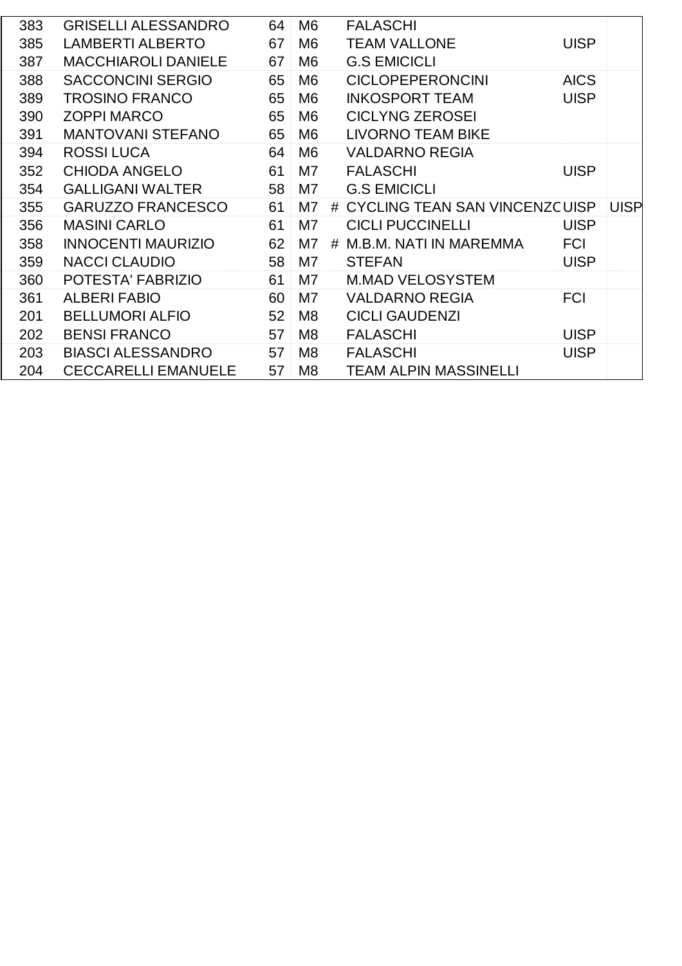| 383 | <b>GRISELLI ALESSANDRO</b> | 64 | M <sub>6</sub> |   | <b>FALASCHI</b>                 |             |             |
|-----|----------------------------|----|----------------|---|---------------------------------|-------------|-------------|
| 385 | <b>LAMBERTI ALBERTO</b>    | 67 | M <sub>6</sub> |   | <b>TEAM VALLONE</b>             | <b>UISP</b> |             |
| 387 | <b>MACCHIAROLI DANIELE</b> | 67 | M <sub>6</sub> |   | <b>G.S EMICICLI</b>             |             |             |
| 388 | <b>SACCONCINI SERGIO</b>   | 65 | M <sub>6</sub> |   | <b>CICLOPEPERONCINI</b>         | <b>AICS</b> |             |
| 389 | <b>TROSINO FRANCO</b>      | 65 | M <sub>6</sub> |   | <b>INKOSPORT TEAM</b>           | <b>UISP</b> |             |
| 390 | <b>ZOPPI MARCO</b>         | 65 | M <sub>6</sub> |   | <b>CICLYNG ZEROSEI</b>          |             |             |
| 391 | <b>MANTOVANI STEFANO</b>   | 65 | M <sub>6</sub> |   | <b>LIVORNO TEAM BIKE</b>        |             |             |
| 394 | <b>ROSSILUCA</b>           | 64 | M <sub>6</sub> |   | <b>VALDARNO REGIA</b>           |             |             |
| 352 | <b>CHIODA ANGELO</b>       | 61 | M <sub>7</sub> |   | <b>FALASCHI</b>                 | <b>UISP</b> |             |
| 354 | <b>GALLIGANI WALTER</b>    | 58 | M7             |   | <b>G.S EMICICLI</b>             |             |             |
| 355 | <b>GARUZZO FRANCESCO</b>   | 61 | M7             |   | # CYCLING TEAN SAN VINCENZCUISP |             | <b>UISP</b> |
| 356 | <b>MASINI CARLO</b>        | 61 | M7             |   | <b>CICLI PUCCINELLI</b>         | <b>UISP</b> |             |
| 358 | <b>INNOCENTI MAURIZIO</b>  | 62 | M7             | # | M.B.M. NATI IN MAREMMA          | <b>FCI</b>  |             |
| 359 | <b>NACCI CLAUDIO</b>       | 58 | M7             |   | <b>STEFAN</b>                   | <b>UISP</b> |             |
| 360 | POTESTA' FABRIZIO          | 61 | M7             |   | <b>M.MAD VELOSYSTEM</b>         |             |             |
| 361 | <b>ALBERI FABIO</b>        | 60 | M7             |   | <b>VALDARNO REGIA</b>           | <b>FCI</b>  |             |
| 201 | <b>BELLUMORI ALFIO</b>     | 52 | M <sub>8</sub> |   | <b>CICLI GAUDENZI</b>           |             |             |
| 202 | <b>BENSI FRANCO</b>        | 57 | M <sub>8</sub> |   | <b>FALASCHI</b>                 | <b>UISP</b> |             |
| 203 | <b>BIASCI ALESSANDRO</b>   | 57 | M <sub>8</sub> |   | <b>FALASCHI</b>                 | <b>UISP</b> |             |
| 204 | <b>CECCARELLI EMANUELE</b> | 57 | M <sub>8</sub> |   | <b>TEAM ALPIN MASSINELLI</b>    |             |             |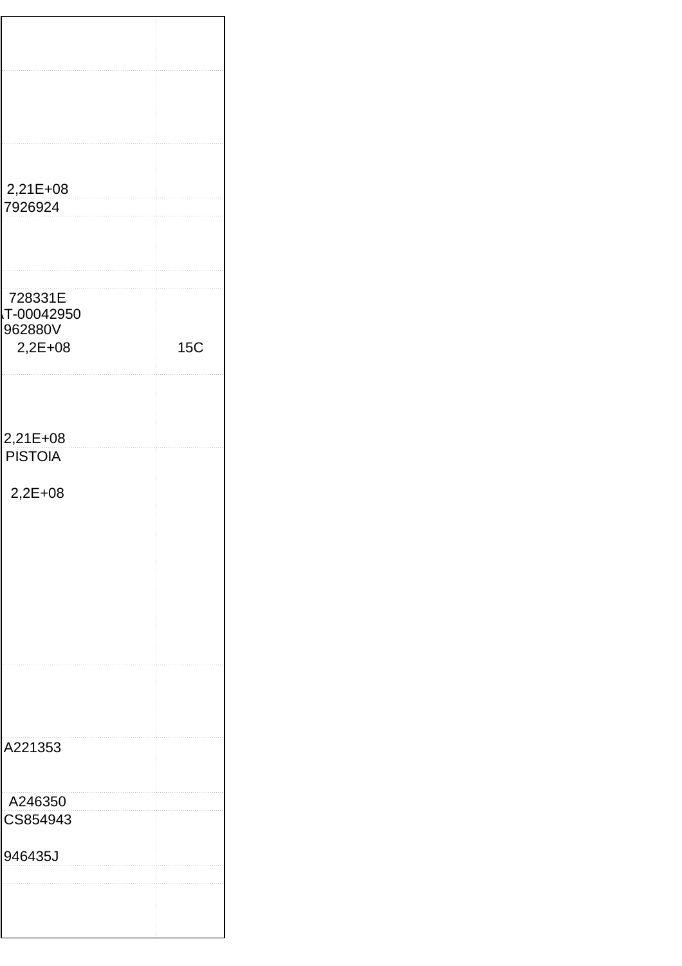| 2,21E+08                   |  |     |
|----------------------------|--|-----|
| 7926924                    |  |     |
|                            |  |     |
|                            |  |     |
|                            |  |     |
|                            |  |     |
| 728331E                    |  |     |
| T-00042950<br>962880V      |  |     |
| $2,2E+08$                  |  | 15C |
|                            |  |     |
|                            |  |     |
|                            |  |     |
|                            |  |     |
|                            |  |     |
| 2,21E+08<br><b>PISTOIA</b> |  |     |
|                            |  |     |
| 2,2E+08                    |  |     |
|                            |  |     |
|                            |  |     |
|                            |  |     |
|                            |  |     |
|                            |  |     |
|                            |  |     |
|                            |  |     |
|                            |  |     |
|                            |  |     |
|                            |  |     |
|                            |  |     |
|                            |  |     |
|                            |  |     |
| A221353                    |  |     |
|                            |  |     |
|                            |  |     |
| A246350                    |  |     |
| CS854943                   |  |     |
|                            |  |     |
| 946435J                    |  |     |
|                            |  |     |
|                            |  |     |
|                            |  |     |
|                            |  |     |
|                            |  |     |